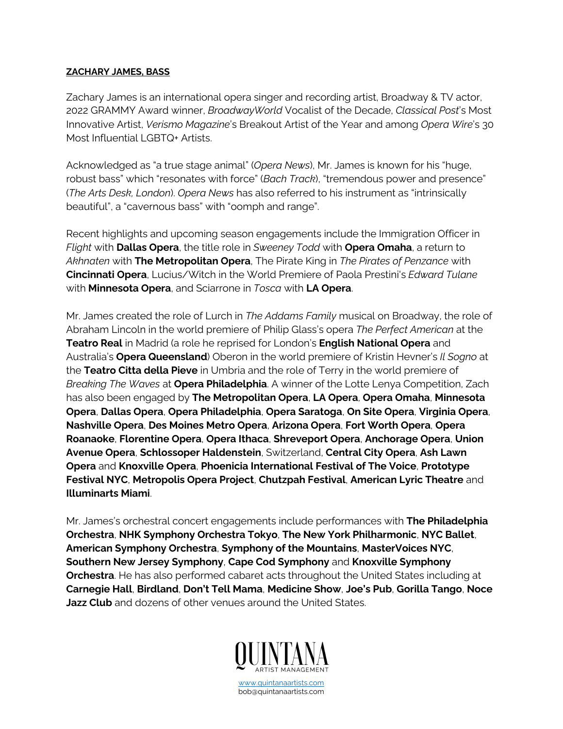## **ZACHARY JAMES, BASS**

Zachary James is an international opera singer and recording artist, Broadway & TV actor, 2022 GRAMMY Award winner, *BroadwayWorld* Vocalist of the Decade, *Classical Post*'s Most Innovative Artist, *Verismo Magazine*'s Breakout Artist of the Year and among *Opera Wire*'s 30 Most Influential LGBTQ+ Artists.

Acknowledged as "a true stage animal" (*Opera News*), Mr. James is known for his "huge, robust bass" which "resonates with force" (*Bach Track*), "tremendous power and presence" (*The Arts Desk, London*). *Opera News* has also referred to his instrument as "intrinsically beautiful", a "cavernous bass" with "oomph and range".

Recent highlights and upcoming season engagements include the Immigration Officer in *Flight* with **Dallas Opera**, the title role in *Sweeney Todd* with **Opera Omaha**, a return to *Akhnaten* with **The Metropolitan Opera**, The Pirate King in *The Pirates of Penzance* with **Cincinnati Opera**, Lucius/Witch in the World Premiere of Paola Prestini's *Edward Tulane* with **Minnesota Opera**, and Sciarrone in *Tosca* with **LA Opera**.

Mr. James created the role of Lurch in *The Addams Family* musical on Broadway, the role of Abraham Lincoln in the world premiere of Philip Glass's opera *The Perfect American* at the **Teatro Real** in Madrid (a role he reprised for London's **English National Opera** and Australia's **Opera Queensland**) Oberon in the world premiere of Kristin Hevner's *Il Sogno* at the **Teatro Citta della Pieve** in Umbria and the role of Terry in the world premiere of *Breaking The Waves* at **Opera Philadelphia**. A winner of the Lotte Lenya Competition, Zach has also been engaged by **The Metropolitan Opera**, **LA Opera**, **Opera Omaha**, **Minnesota Opera**, **Dallas Opera**, **Opera Philadelphia**, **Opera Saratoga**, **On Site Opera**, **Virginia Opera**, **Nashville Opera**, **Des Moines Metro Opera**, **Arizona Opera**, **Fort Worth Opera**, **Opera Roanaoke**, **Florentine Opera**, **Opera Ithaca**, **Shreveport Opera**, **Anchorage Opera**, **Union Avenue Opera**, **Schlossoper Haldenstein**, Switzerland, **Central City Opera**, **Ash Lawn Opera** and **Knoxville Opera**, **Phoenicia International Festival of The Voice**, **Prototype Festival NYC**, **Metropolis Opera Project**, **Chutzpah Festival**, **American Lyric Theatre** and **Illuminarts Miami**.

Mr. James's orchestral concert engagements include performances with **The Philadelphia Orchestra**, **NHK Symphony Orchestra Tokyo**, **The New York Philharmonic**, **NYC Ballet**, **American Symphony Orchestra**, **Symphony of the Mountains**, **MasterVoices NYC**, **Southern New Jersey Symphony**, **Cape Cod Symphony** and **Knoxville Symphony Orchestra**. He has also performed cabaret acts throughout the United States including at **Carnegie Hall**, **Birdland**, **Don't Tell Mama**, **Medicine Show**, **Joe's Pub**, **Gorilla Tango**, **Noce Jazz Club** and dozens of other venues around the United States.



www.quintanaartists.com bob@quintanaartists.com